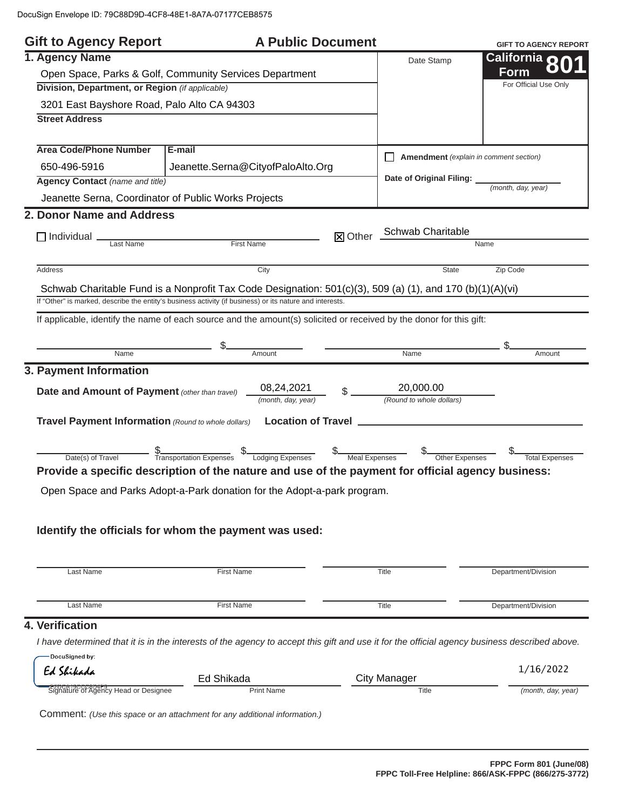| <b>Gift to Agency Report</b>                               |                                                                                                                                                           | <b>A Public Document</b> |                                               | <b>GIFT TO AGENCY REPORT</b> |
|------------------------------------------------------------|-----------------------------------------------------------------------------------------------------------------------------------------------------------|--------------------------|-----------------------------------------------|------------------------------|
| 1. Agency Name                                             |                                                                                                                                                           |                          | Date Stamp                                    | California <b>20</b>         |
| Open Space, Parks & Golf, Community Services Department    |                                                                                                                                                           |                          |                                               | Form                         |
| Division, Department, or Region (if applicable)            |                                                                                                                                                           |                          |                                               | For Official Use Only        |
| 3201 East Bayshore Road, Palo Alto CA 94303                |                                                                                                                                                           |                          |                                               |                              |
| <b>Street Address</b>                                      |                                                                                                                                                           |                          |                                               |                              |
| <b>Area Code/Phone Number</b>                              | E-mail                                                                                                                                                    |                          | $\Box$ Amendment (explain in comment section) |                              |
| 650-496-5916                                               | Jeanette.Serna@CityofPaloAlto.Org                                                                                                                         |                          |                                               |                              |
| <b>Agency Contact (name and title)</b>                     |                                                                                                                                                           |                          | Date of Original Filing: _                    | (month, day, year)           |
|                                                            | Jeanette Serna, Coordinator of Public Works Projects                                                                                                      |                          |                                               |                              |
| 2. Donor Name and Address                                  |                                                                                                                                                           |                          |                                               |                              |
|                                                            |                                                                                                                                                           |                          | X Other Schwab Charitable                     |                              |
| $\Box$ Individual $\Box$<br>Last Name                      | First Name                                                                                                                                                |                          |                                               | Name                         |
|                                                            |                                                                                                                                                           |                          |                                               |                              |
| Address                                                    | City                                                                                                                                                      |                          | <b>State</b>                                  | Zip Code                     |
|                                                            | Schwab Charitable Fund is a Nonprofit Tax Code Designation: $501(c)(3)$ , 509 (a) (1), and 170 (b)(1)(A)(vi)                                              |                          |                                               |                              |
|                                                            | If "Other" is marked, describe the entity's business activity (if business) or its nature and interests.                                                  |                          |                                               |                              |
|                                                            | If applicable, identify the name of each source and the amount(s) solicited or received by the donor for this gift:                                       |                          |                                               |                              |
|                                                            |                                                                                                                                                           |                          |                                               |                              |
| Name                                                       | Amount                                                                                                                                                    |                          | <b>Name</b>                                   | Amount                       |
| 3. Payment Information                                     |                                                                                                                                                           |                          |                                               |                              |
|                                                            | 08,24,2021                                                                                                                                                |                          | 20,000.00                                     |                              |
| Date and Amount of Payment (other than travel)             | (month, day, year)                                                                                                                                        |                          | (Round to whole dollars)                      |                              |
| <b>Travel Payment Information</b> (Round to whole dollars) |                                                                                                                                                           |                          |                                               |                              |
|                                                            |                                                                                                                                                           |                          |                                               |                              |
|                                                            |                                                                                                                                                           |                          |                                               |                              |
|                                                            | Date(s) of Travel <b>5</b><br>Date(s) of Travel <b>1</b> Transportation Expenses <b>5</b> Lodging Expenses <b>5</b> Meal Expenses <b>5</b> Other Expenses |                          |                                               | Total Expenses               |
|                                                            | Provide a specific description of the nature and use of the payment for official agency business:                                                         |                          |                                               |                              |
|                                                            | Open Space and Parks Adopt-a-Park donation for the Adopt-a-park program.                                                                                  |                          |                                               |                              |
|                                                            |                                                                                                                                                           |                          |                                               |                              |
|                                                            |                                                                                                                                                           |                          |                                               |                              |
|                                                            | Identify the officials for whom the payment was used:                                                                                                     |                          |                                               |                              |
|                                                            |                                                                                                                                                           |                          |                                               |                              |
| Last Name                                                  | <b>First Name</b>                                                                                                                                         |                          | Title                                         | Department/Division          |
|                                                            |                                                                                                                                                           |                          |                                               |                              |
| Last Name                                                  | <b>First Name</b>                                                                                                                                         |                          | Title                                         | Department/Division          |
| 4. Verification                                            |                                                                                                                                                           |                          |                                               |                              |
|                                                            |                                                                                                                                                           |                          |                                               |                              |
|                                                            | I have determined that it is in the interests of the agency to accept this gift and use it for the official agency business described above.              |                          |                                               |                              |
| DocuSigned by:<br>Ed Shikada                               |                                                                                                                                                           |                          |                                               | 1/16/2022                    |
|                                                            | Ed Shikada                                                                                                                                                |                          | <b>City Manager</b>                           |                              |
| -F2DCA19CCC8D4r v. Head or Designee                        | <b>Print Name</b>                                                                                                                                         |                          | Title                                         | (month, day, year)           |
|                                                            |                                                                                                                                                           |                          |                                               |                              |
|                                                            | Comment: (Use this space or an attachment for any additional information.)                                                                                |                          |                                               |                              |
|                                                            |                                                                                                                                                           |                          |                                               |                              |
|                                                            |                                                                                                                                                           |                          |                                               |                              |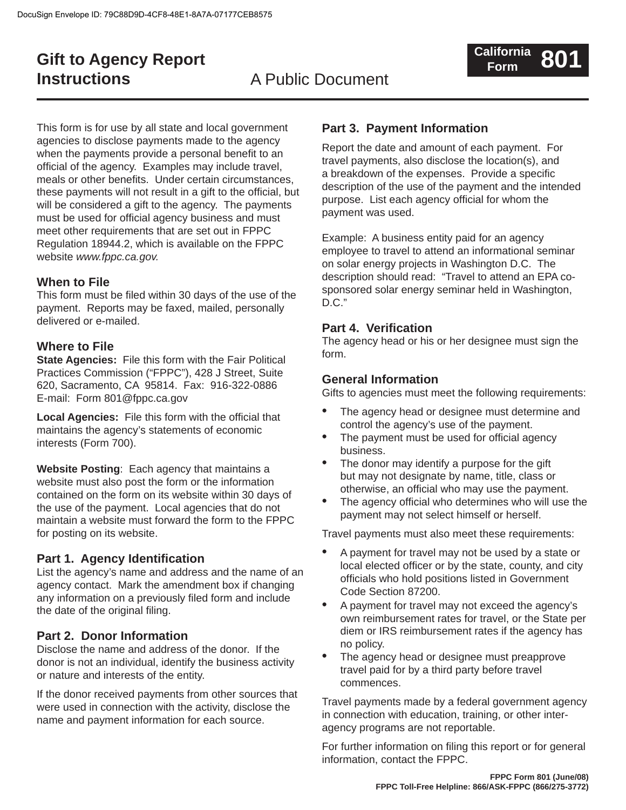## **Gift to Agency Report Instructions**

## A Public Document

This form is for use by all state and local government agencies to disclose payments made to the agency when the payments provide a personal benefit to an official of the agency. Examples may include travel, meals or other benefits. Under certain circumstances, these payments will not result in a gift to the official, but will be considered a gift to the agency. The payments must be used for official agency business and must meet other requirements that are set out in FPPC Regulation 18944.2, which is available on the FPPC website *www.fppc.ca.gov.*

#### **When to File**

This form must be filed within 30 days of the use of the payment. Reports may be faxed, mailed, personally delivered or e-mailed.

#### **Where to File**

**State Agencies:** File this form with the Fair Political Practices Commission ("FPPC"), 428 J Street, Suite 620, Sacramento, CA 95814. Fax: 916-322-0886 E-mail: Form 801@fppc.ca.gov

**Local Agencies:** File this form with the official that maintains the agency's statements of economic interests (Form 700).

**Website Posting**: Each agency that maintains a website must also post the form or the information contained on the form on its website within 30 days of the use of the payment. Local agencies that do not maintain a website must forward the form to the FPPC for posting on its website.

#### **Part 1. Agency Identification**

List the agency's name and address and the name of an agency contact. Mark the amendment box if changing any information on a previously filed form and include the date of the original filing.

#### **Part 2. Donor Information**

Disclose the name and address of the donor. If the donor is not an individual, identify the business activity or nature and interests of the entity.

If the donor received payments from other sources that were used in connection with the activity, disclose the name and payment information for each source.

### **Part 3. Payment Information**

Report the date and amount of each payment. For travel payments, also disclose the location(s), and a breakdown of the expenses. Provide a specific description of the use of the payment and the intended purpose. List each agency official for whom the payment was used.

Example: A business entity paid for an agency employee to travel to attend an informational seminar on solar energy projects in Washington D.C. The description should read: "Travel to attend an EPA cosponsored solar energy seminar held in Washington, D.C."

#### **Part 4. Verification**

The agency head or his or her designee must sign the form.

#### **General Information**

Gifts to agencies must meet the following requirements:

- The agency head or designee must determine and control the agency's use of the payment. •
- The payment must be used for official agency business. •
- The donor may identify a purpose for the gift but may not designate by name, title, class or otherwise, an official who may use the payment. •
- The agency official who determines who will use the payment may not select himself or herself. •

Travel payments must also meet these requirements:

- A payment for travel may not be used by a state or local elected officer or by the state, county, and city officials who hold positions listed in Government Code Section 87200. •
- A payment for travel may not exceed the agency's own reimbursement rates for travel, or the State per diem or IRS reimbursement rates if the agency has no policy. •
- The agency head or designee must preapprove travel paid for by a third party before travel commences. •

Travel payments made by a federal government agency in connection with education, training, or other interagency programs are not reportable.

For further information on filing this report or for general information, contact the FPPC.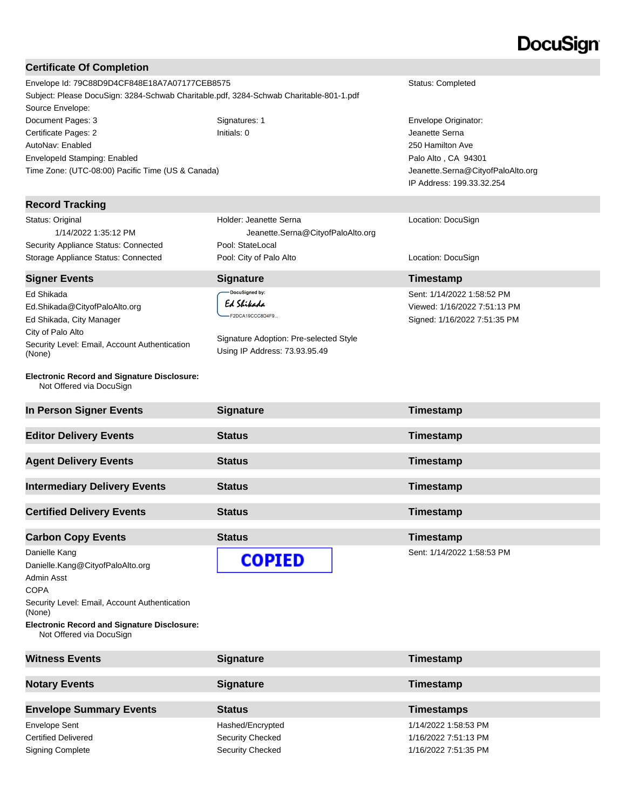# **DocuSign®**

| <b>Certificate Of Completion</b>                                                                                                                                                                                                                                  |                                                                                                                                                |                                                                                                                                                     |
|-------------------------------------------------------------------------------------------------------------------------------------------------------------------------------------------------------------------------------------------------------------------|------------------------------------------------------------------------------------------------------------------------------------------------|-----------------------------------------------------------------------------------------------------------------------------------------------------|
| Envelope Id: 79C88D9D4CF848E18A7A07177CEB8575<br>Subject: Please DocuSign: 3284-Schwab Charitable.pdf, 3284-Schwab Charitable-801-1.pdf<br>Source Envelope:                                                                                                       |                                                                                                                                                | Status: Completed                                                                                                                                   |
| Document Pages: 3<br>Certificate Pages: 2<br>AutoNav: Enabled<br>EnvelopeId Stamping: Enabled<br>Time Zone: (UTC-08:00) Pacific Time (US & Canada)                                                                                                                | Signatures: 1<br>Initials: 0                                                                                                                   | Envelope Originator:<br>Jeanette Serna<br>250 Hamilton Ave<br>Palo Alto, CA 94301<br>Jeanette.Serna@CityofPaloAlto.org<br>IP Address: 199.33.32.254 |
| <b>Record Tracking</b>                                                                                                                                                                                                                                            |                                                                                                                                                |                                                                                                                                                     |
| Status: Original<br>1/14/2022 1:35:12 PM<br>Security Appliance Status: Connected<br>Storage Appliance Status: Connected                                                                                                                                           | Holder: Jeanette Serna<br>Jeanette.Serna@CityofPaloAlto.org<br>Pool: StateLocal<br>Pool: City of Palo Alto                                     | Location: DocuSign<br>Location: DocuSign                                                                                                            |
|                                                                                                                                                                                                                                                                   |                                                                                                                                                |                                                                                                                                                     |
| <b>Signer Events</b><br>Ed Shikada<br>Ed.Shikada@CityofPaloAlto.org<br>Ed Shikada, City Manager<br>City of Palo Alto<br>Security Level: Email, Account Authentication<br>(None)<br><b>Electronic Record and Signature Disclosure:</b><br>Not Offered via DocuSign | <b>Signature</b><br>DocuSigned by:<br>Ed Shikada<br>F2DCA19CCC8D4F9<br>Signature Adoption: Pre-selected Style<br>Using IP Address: 73.93.95.49 | Timestamp<br>Sent: 1/14/2022 1:58:52 PM<br>Viewed: 1/16/2022 7:51:13 PM<br>Signed: 1/16/2022 7:51:35 PM                                             |
|                                                                                                                                                                                                                                                                   |                                                                                                                                                |                                                                                                                                                     |
| In Person Signer Events                                                                                                                                                                                                                                           | <b>Signature</b>                                                                                                                               | Timestamp                                                                                                                                           |
| <b>Editor Delivery Events</b>                                                                                                                                                                                                                                     | <b>Status</b>                                                                                                                                  | Timestamp                                                                                                                                           |
| <b>Agent Delivery Events</b>                                                                                                                                                                                                                                      | <b>Status</b>                                                                                                                                  | Timestamp                                                                                                                                           |
| <b>Intermediary Delivery Events</b>                                                                                                                                                                                                                               | <b>Status</b>                                                                                                                                  | Timestamp                                                                                                                                           |
| <b>Certified Delivery Events</b>                                                                                                                                                                                                                                  | <b>Status</b>                                                                                                                                  | <b>Timestamp</b>                                                                                                                                    |
| <b>Carbon Copy Events</b>                                                                                                                                                                                                                                         | <b>Status</b>                                                                                                                                  | Timestamp                                                                                                                                           |
| Danielle Kang<br>Danielle.Kang@CityofPaloAlto.org<br>Admin Asst<br><b>COPA</b><br>Security Level: Email, Account Authentication<br>(None)<br><b>Electronic Record and Signature Disclosure:</b><br>Not Offered via DocuSign                                       | <b>COPIED</b>                                                                                                                                  | Sent: 1/14/2022 1:58:53 PM                                                                                                                          |
| <b>Witness Events</b>                                                                                                                                                                                                                                             | <b>Signature</b>                                                                                                                               | Timestamp                                                                                                                                           |
| <b>Notary Events</b>                                                                                                                                                                                                                                              | <b>Signature</b>                                                                                                                               | Timestamp                                                                                                                                           |
| <b>Envelope Summary Events</b>                                                                                                                                                                                                                                    | <b>Status</b>                                                                                                                                  | <b>Timestamps</b>                                                                                                                                   |

Certified Delivered **Security Checked** Security Checked 1/16/2022 7:51:13 PM Signing Complete Signing Complete Security Checked Security Checked 1/16/2022 7:51:35 PM